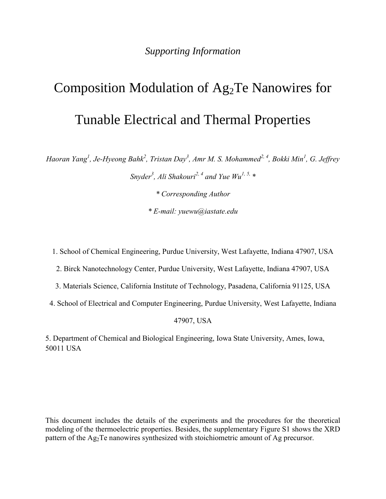## *Supporting Information*

# Composition Modulation of Ag<sub>2</sub>Te Nanowires for Tunable Electrical and Thermal Properties

*Haoran Yang<sup>1</sup> , Je-Hyeong Bahk<sup>2</sup> , Tristan Day<sup>3</sup> , Amr M. S. Mohammed2, 4 , Bokki Min<sup>1</sup> , G. Jeffrey Snyder<sup>3</sup> , Ali Shakouri2, 4 and Yue Wu1, 5, \**

*\* Corresponding Author* 

*\* E-mail: yuewu@iastate.edu*

1. School of Chemical Engineering, Purdue University, West Lafayette, Indiana 47907, USA

2. Birck Nanotechnology Center, Purdue University, West Lafayette, Indiana 47907, USA

- 3. Materials Science, California Institute of Technology, Pasadena, California 91125, USA
- 4. School of Electrical and Computer Engineering, Purdue University, West Lafayette, Indiana

47907, USA

5. Department of Chemical and Biological Engineering, Iowa State University, Ames, Iowa, 50011 USA

This document includes the details of the experiments and the procedures for the theoretical modeling of the thermoelectric properties. Besides, the supplementary Figure S1 shows the XRD pattern of the Ag<sub>2</sub>Te nanowires synthesized with stoichiometric amount of Ag precursor.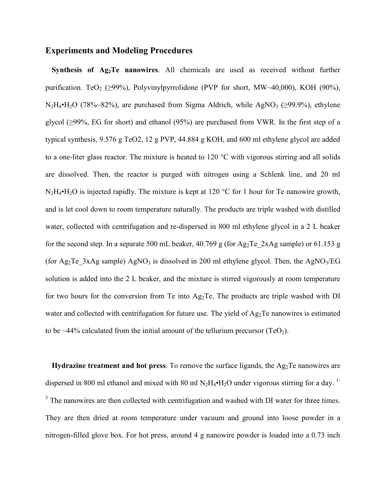#### **Experiments and Modeling Procedures**

**Synthesis of Ag2Te nanowires**. All chemicals are used as received without further purification. TeO<sub>2</sub> ( $\geq$ 99%), Polyvinylpyrrolidone (PVP for short, MW~40,000), KOH (90%),  $N_2H_4\bullet H_2O$  (78%~82%), are purchased from Sigma Aldrich, while AgNO<sub>3</sub> ( $\geq$ 99.9%), ethylene glycol ( $\geq$ 99%, EG for short) and ethanol (95%) are purchased from VWR. In the first step of a typical synthesis, 9.576 g TeO2, 12 g PVP, 44.884 g KOH, and 600 ml ethylene glycol are added to a one-liter glass reactor. The mixture is heated to 120 °C with vigorous stirring and all solids are dissolved. Then, the reactor is purged with nitrogen using a Schlenk line, and 20 ml  $N_2H_4\bullet H_2O$  is injected rapidly. The mixture is kept at 120 °C for 1 hour for Te nanowire growth, and is let cool down to room temperature naturally. The products are triple washed with distilled water, collected with centrifugation and re-dispersed in 800 ml ethylene glycol in a 2 L beaker for the second step. In a separate 500 mL beaker, 40.769 g (for Ag<sub>2</sub>Te 2xAg sample) or 61.153 g (for Ag<sub>2</sub>Te 3xAg sample) AgNO<sub>3</sub> is dissolved in 200 ml ethylene glycol. Then, the AgNO<sub>3</sub>/EG solution is added into the 2 L beaker, and the mixture is stirred vigorously at room temperature for two hours for the conversion from Te into  $Ag<sub>2</sub>Te$ . The products are triple washed with DI water and collected with centrifugation for future use. The yield of Ag<sub>2</sub>Te nanowires is estimated to be  $\sim$ 44% calculated from the initial amount of the tellurium precursor (TeO<sub>2</sub>).

**Hydrazine treatment and hot press**. To remove the surface ligands, the Ag<sub>2</sub>Te nanowires are dispersed in 800 ml ethanol and mixed with 80 ml  $N_2H_4\bullet H_2O$  under vigorous stirring for a day. <sup>1-</sup> <sup>3</sup> The nanowires are then collected with centrifugation and washed with DI water for three times. They are then dried at room temperature under vacuum and ground into loose powder in a nitrogen-filled glove box. For hot press, around 4 g nanowire powder is loaded into a 0.73 inch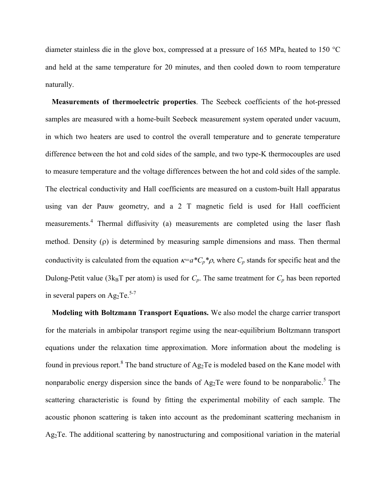diameter stainless die in the glove box, compressed at a pressure of 165 MPa, heated to 150 °C and held at the same temperature for 20 minutes, and then cooled down to room temperature naturally.

**Measurements of thermoelectric properties**. The Seebeck coefficients of the hot-pressed samples are measured with a home-built Seebeck measurement system operated under vacuum, in which two heaters are used to control the overall temperature and to generate temperature difference between the hot and cold sides of the sample, and two type-K thermocouples are used to measure temperature and the voltage differences between the hot and cold sides of the sample. The electrical conductivity and Hall coefficients are measured on a custom-built Hall apparatus using van der Pauw geometry, and a 2 T magnetic field is used for Hall coefficient measurements.<sup>4</sup> Thermal diffusivity (a) measurements are completed using the laser flash method. Density  $(\rho)$  is determined by measuring sample dimensions and mass. Then thermal conductivity is calculated from the equation  $\kappa = a^*C_p^* \rho$ , where  $C_p$  stands for specific heat and the Dulong-Petit value (3 $k_B T$  per atom) is used for  $C_p$ . The same treatment for  $C_p$  has been reported in several papers on  $Ag_2Te$ <sup>5-7</sup>

**Modeling with Boltzmann Transport Equations.** We also model the charge carrier transport for the materials in ambipolar transport regime using the near-equilibrium Boltzmann transport equations under the relaxation time approximation. More information about the modeling is found in previous report.<sup>8</sup> The band structure of  $Ag_2Te$  is modeled based on the Kane model with nonparabolic energy dispersion since the bands of  $Ag_2Te$  were found to be nonparabolic.<sup>5</sup> The scattering characteristic is found by fitting the experimental mobility of each sample. The acoustic phonon scattering is taken into account as the predominant scattering mechanism in Ag2Te. The additional scattering by nanostructuring and compositional variation in the material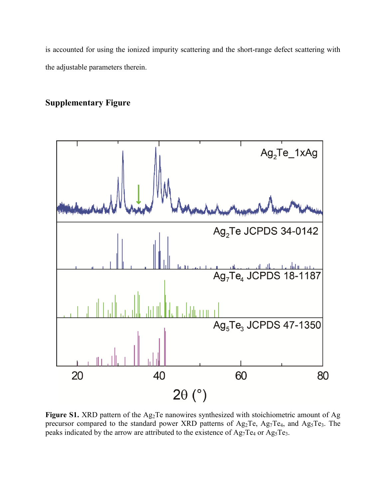is accounted for using the ionized impurity scattering and the short-range defect scattering with the adjustable parameters therein.

## **Supplementary Figure**



Figure S1. XRD pattern of the Ag<sub>2</sub>Te nanowires synthesized with stoichiometric amount of Ag precursor compared to the standard power XRD patterns of Ag<sub>2</sub>Te, Ag<sub>7</sub>Te<sub>4</sub>, and Ag<sub>5</sub>Te<sub>3</sub>. The peaks indicated by the arrow are attributed to the existence of  $Ag_7Te_4$  or  $Ag_5Te_3$ .